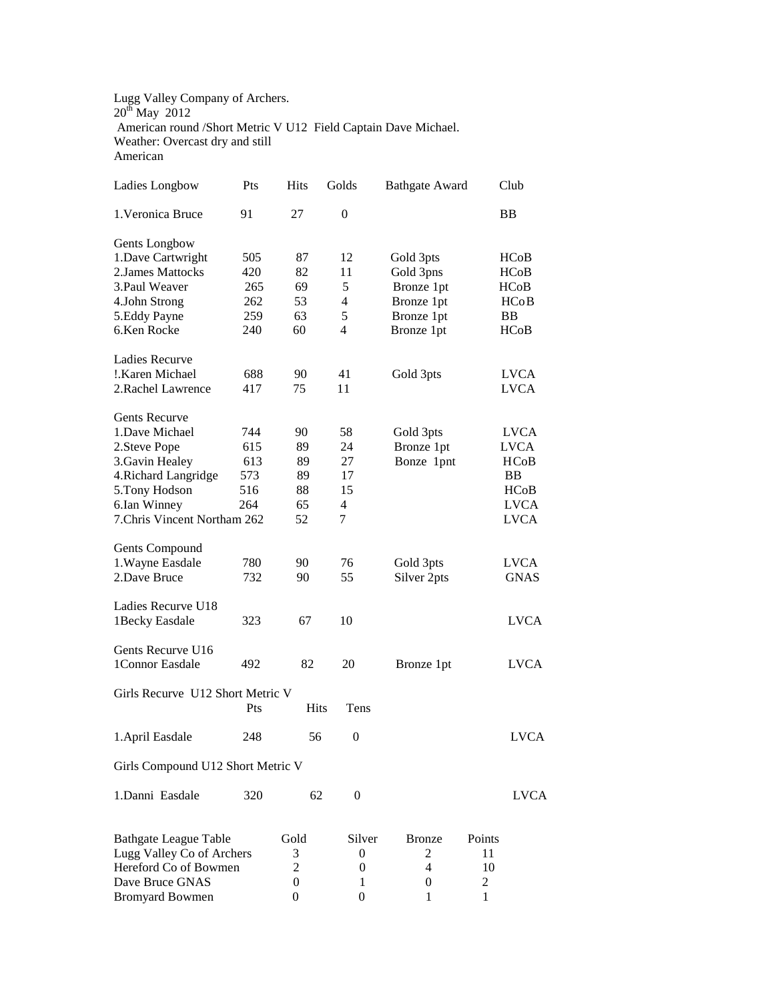Lugg Valley Company of Archers.  $20^{th}$  May  $2012$ American round /Short Metric V U12 Field Captain Dave Michael. Weather: Overcast dry and still American

| Ladies Longbow                    | Pts | Hits           | Golds            | <b>Bathgate Award</b> | Club         |
|-----------------------------------|-----|----------------|------------------|-----------------------|--------------|
| 1. Veronica Bruce                 | 91  | 27             | $\boldsymbol{0}$ |                       | <b>BB</b>    |
| Gents Longbow                     |     |                |                  |                       |              |
| 1.Dave Cartwright                 | 505 | 87             | 12               | Gold 3pts             | HCoB         |
| 2. James Mattocks                 | 420 | 82             | 11               | Gold 3pns             | HCoB         |
| 3. Paul Weaver                    | 265 | 69             | 5                | Bronze 1pt            | HCoB         |
| 4.John Strong                     | 262 | 53             | $\overline{4}$   | Bronze 1pt            | HCoB         |
| 5. Eddy Payne                     | 259 | 63             | 5                | Bronze 1pt            | BB           |
| 6.Ken Rocke                       | 240 | 60             | 4                | Bronze 1pt            | HCoB         |
| Ladies Recurve                    |     |                |                  |                       |              |
| !.Karen Michael                   | 688 | 90             | 41               | Gold 3pts             | <b>LVCA</b>  |
| 2. Rachel Lawrence                | 417 | 75             | 11               |                       | <b>LVCA</b>  |
| <b>Gents Recurve</b>              |     |                |                  |                       |              |
| 1.Dave Michael                    | 744 | 90             | 58               | Gold 3pts             | <b>LVCA</b>  |
| 2. Steve Pope                     | 615 | 89             | 24               | Bronze 1pt            | <b>LVCA</b>  |
| 3. Gavin Healey                   | 613 | 89             | 27               | Bonze 1pnt            | HCoB         |
| 4. Richard Langridge              | 573 | 89             | 17               |                       | <b>BB</b>    |
| 5.Tony Hodson                     | 516 | 88             | 15               |                       | <b>HCoB</b>  |
| 6.Ian Winney                      | 264 | 65             | 4                |                       | <b>LVCA</b>  |
| 7. Chris Vincent Northam 262      |     | 52             | 7                |                       | <b>LVCA</b>  |
| Gents Compound                    |     |                |                  |                       |              |
| 1. Wayne Easdale                  | 780 | 90             | 76               | Gold 3pts             | <b>LVCA</b>  |
| 2.Dave Bruce                      | 732 | 90             | 55               | Silver 2pts           | <b>GNAS</b>  |
| Ladies Recurve U18                |     |                |                  |                       |              |
| 1 Becky Easdale                   | 323 | 67             | 10               |                       | <b>LVCA</b>  |
| Gents Recurve U16                 |     |                |                  |                       |              |
| 1Connor Easdale                   | 492 | 82             | 20               | Bronze 1pt            | <b>LVCA</b>  |
| Girls Recurve U12 Short Metric V  |     |                |                  |                       |              |
|                                   | Pts | <b>Hits</b>    | Tens             |                       |              |
| 1. April Easdale                  | 248 | 56             | $\boldsymbol{0}$ |                       | <b>LVCA</b>  |
| Girls Compound U12 Short Metric V |     |                |                  |                       |              |
| 1.Danni Easdale                   | 320 | 62             | $\theta$         |                       | LVCA         |
| <b>Bathgate League Table</b>      |     | Gold           | Silver           | <b>Bronze</b>         | Points       |
| Lugg Valley Co of Archers         |     | 3              | $\boldsymbol{0}$ | 2                     | 11           |
| Hereford Co of Bowmen             |     | $\overline{c}$ | 0                | $\overline{4}$        | 10           |
| Dave Bruce GNAS                   |     | 0              | 1                | $\boldsymbol{0}$      | 2            |
| <b>Bromyard Bowmen</b>            |     | 0              | $\mathbf{0}$     | $\mathbf{1}$          | $\mathbf{1}$ |
|                                   |     |                |                  |                       |              |